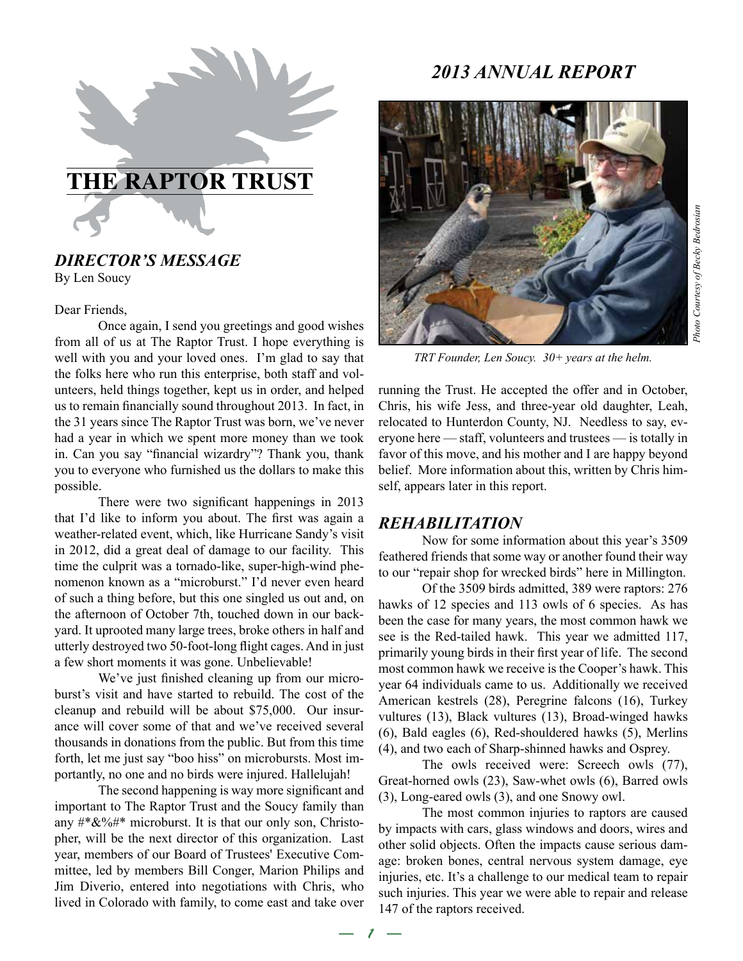

# *DIRECTOR'S MESSAGE*

By Len Soucy

Dear Friends,

Once again, I send you greetings and good wishes from all of us at The Raptor Trust. I hope everything is well with you and your loved ones. I'm glad to say that the folks here who run this enterprise, both staff and volunteers, held things together, kept us in order, and helped us to remain financially sound throughout 2013. In fact, in the 31 years since The Raptor Trust was born, we've never had a year in which we spent more money than we took in. Can you say "financial wizardry"? Thank you, thank you to everyone who furnished us the dollars to make this possible.

There were two significant happenings in 2013 that I'd like to inform you about. The first was again a weather-related event, which, like Hurricane Sandy's visit in 2012, did a great deal of damage to our facility. This time the culprit was a tornado-like, super-high-wind phenomenon known as a "microburst." I'd never even heard of such a thing before, but this one singled us out and, on the afternoon of October 7th, touched down in our backyard. It uprooted many large trees, broke others in half and utterly destroyed two 50-foot-long flight cages. And in just a few short moments it was gone. Unbelievable!

We've just finished cleaning up from our microburst's visit and have started to rebuild. The cost of the cleanup and rebuild will be about \$75,000. Our insurance will cover some of that and we've received several thousands in donations from the public. But from this time forth, let me just say "boo hiss" on microbursts. Most importantly, no one and no birds were injured. Hallelujah!

The second happening is way more significant and important to The Raptor Trust and the Soucy family than any  $\#^* \& 2\% \#^*$  microburst. It is that our only son, Christopher, will be the next director of this organization. Last year, members of our Board of Trustees' Executive Committee, led by members Bill Conger, Marion Philips and Jim Diverio, entered into negotiations with Chris, who lived in Colorado with family, to come east and take over

# *2013 ANNUAL REPORT*



*TRT Founder, Len Soucy. 30+ years at the helm.*

running the Trust. He accepted the offer and in October, Chris, his wife Jess, and three-year old daughter, Leah, relocated to Hunterdon County, NJ. Needless to say, everyone here — staff, volunteers and trustees — is totally in favor of this move, and his mother and I are happy beyond belief. More information about this, written by Chris himself, appears later in this report.

## *REHABILITATION*

*— 1 —*

Now for some information about this year's 3509 feathered friends that some way or another found their way to our "repair shop for wrecked birds" here in Millington.

Of the 3509 birds admitted, 389 were raptors: 276 hawks of 12 species and 113 owls of 6 species. As has been the case for many years, the most common hawk we see is the Red-tailed hawk. This year we admitted 117, primarily young birds in their first year of life. The second most common hawk we receive is the Cooper's hawk. This year 64 individuals came to us. Additionally we received American kestrels (28), Peregrine falcons (16), Turkey vultures (13), Black vultures (13), Broad-winged hawks (6), Bald eagles (6), Red-shouldered hawks (5), Merlins (4), and two each of Sharp-shinned hawks and Osprey.

The owls received were: Screech owls (77), Great-horned owls (23), Saw-whet owls (6), Barred owls (3), Long-eared owls (3), and one Snowy owl.

The most common injuries to raptors are caused by impacts with cars, glass windows and doors, wires and other solid objects. Often the impacts cause serious damage: broken bones, central nervous system damage, eye injuries, etc. It's a challenge to our medical team to repair such injuries. This year we were able to repair and release 147 of the raptors received.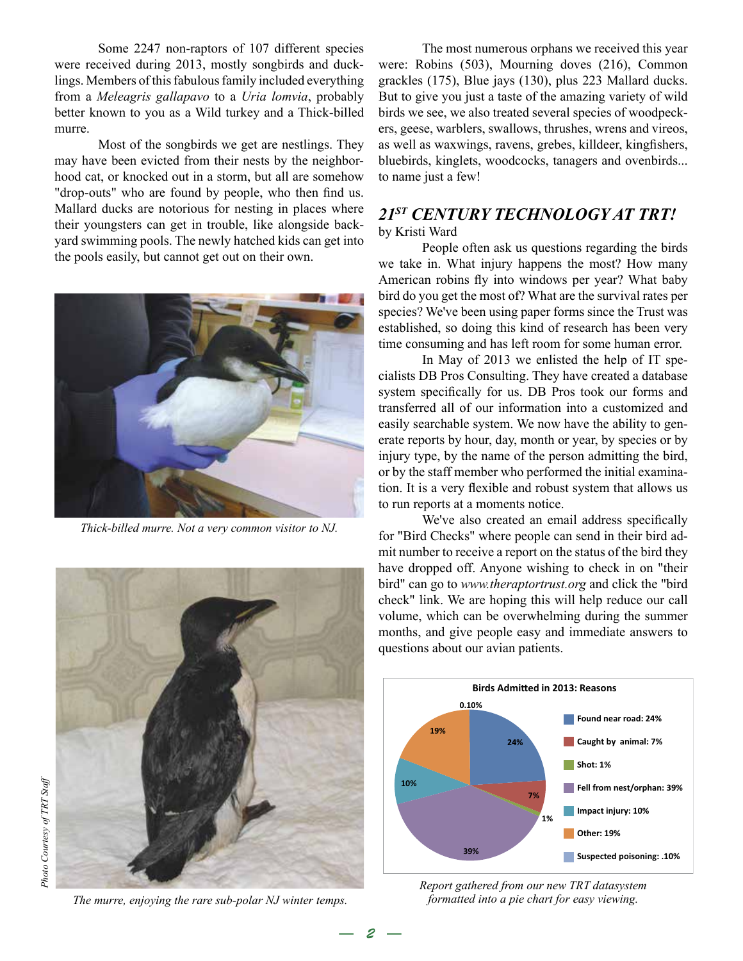Some 2247 non-raptors of 107 different species were received during 2013, mostly songbirds and ducklings. Members of this fabulous family included everything from a *Meleagris gallapavo* to a *Uria lomvia*, probably better known to you as a Wild turkey and a Thick-billed murre.

Most of the songbirds we get are nestlings. They may have been evicted from their nests by the neighborhood cat, or knocked out in a storm, but all are somehow "drop-outs" who are found by people, who then find us. Mallard ducks are notorious for nesting in places where their youngsters can get in trouble, like alongside backyard swimming pools. The newly hatched kids can get into the pools easily, but cannot get out on their own.



*Thick-billed murre. Not a very common visitor to NJ.*



*The murre, enjoying the rare sub-polar NJ winter temps.* 

*— 2 —*

The most numerous orphans we received this year were: Robins (503), Mourning doves (216), Common grackles (175), Blue jays (130), plus 223 Mallard ducks. But to give you just a taste of the amazing variety of wild birds we see, we also treated several species of woodpeckers, geese, warblers, swallows, thrushes, wrens and vireos, as well as waxwings, ravens, grebes, killdeer, kingfishers, bluebirds, kinglets, woodcocks, tanagers and ovenbirds... to name just a few!

# *21ST CENTURY TECHNOLOGY AT TRT!* by Kristi Ward

People often ask us questions regarding the birds we take in. What injury happens the most? How many American robins fly into windows per year? What baby bird do you get the most of? What are the survival rates per species? We've been using paper forms since the Trust was established, so doing this kind of research has been very time consuming and has left room for some human error.

In May of 2013 we enlisted the help of IT specialists DB Pros Consulting. They have created a database system specifically for us. DB Pros took our forms and transferred all of our information into a customized and easily searchable system. We now have the ability to generate reports by hour, day, month or year, by species or by injury type, by the name of the person admitting the bird, or by the staff member who performed the initial examination. It is a very flexible and robust system that allows us to run reports at a moments notice.

We've also created an email address specifically for "Bird Checks" where people can send in their bird admit number to receive a report on the status of the bird they have dropped off. Anyone wishing to check in on "their bird" can go to *www.theraptortrust.org* and click the "bird check" link. We are hoping this will help reduce our call volume, which can be overwhelming during the summer months, and give people easy and immediate answers to questions about our avian patients.



*Report gathered from our new TRT datasystem formatted into a pie chart for easy viewing.*

Photo Courtesy of TRT Staff *Photo Courtesy of TRT Staff*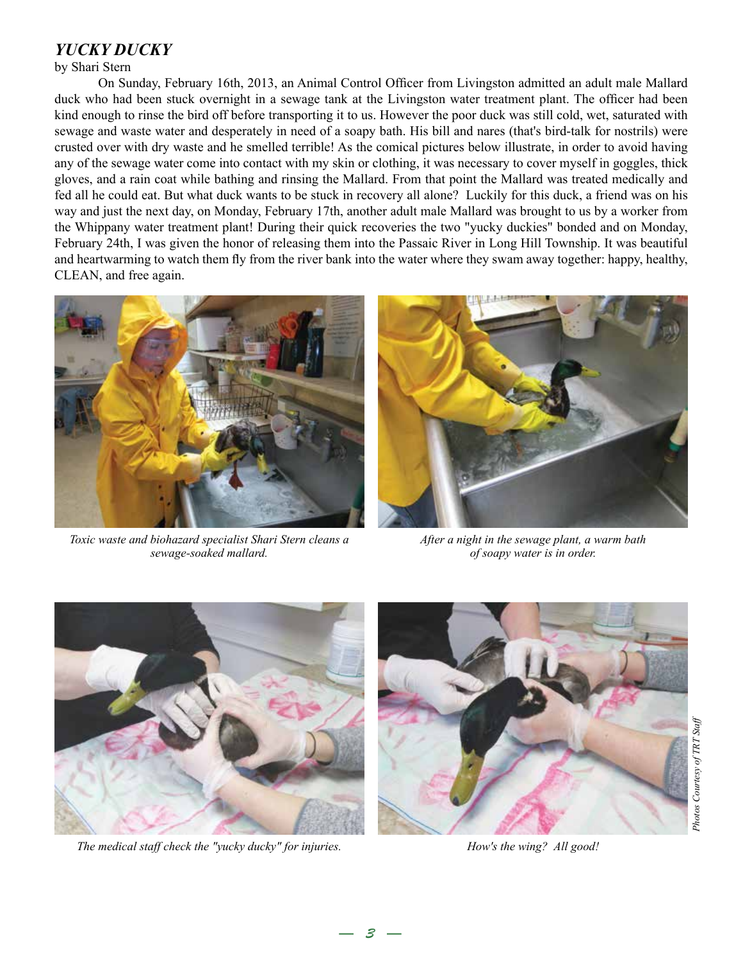# *YUCKY DUCKY*

by Shari Stern

On Sunday, February 16th, 2013, an Animal Control Officer from Livingston admitted an adult male Mallard duck who had been stuck overnight in a sewage tank at the Livingston water treatment plant. The officer had been kind enough to rinse the bird off before transporting it to us. However the poor duck was still cold, wet, saturated with sewage and waste water and desperately in need of a soapy bath. His bill and nares (that's bird-talk for nostrils) were crusted over with dry waste and he smelled terrible! As the comical pictures below illustrate, in order to avoid having any of the sewage water come into contact with my skin or clothing, it was necessary to cover myself in goggles, thick gloves, and a rain coat while bathing and rinsing the Mallard. From that point the Mallard was treated medically and fed all he could eat. But what duck wants to be stuck in recovery all alone? Luckily for this duck, a friend was on his way and just the next day, on Monday, February 17th, another adult male Mallard was brought to us by a worker from the Whippany water treatment plant! During their quick recoveries the two "yucky duckies" bonded and on Monday, February 24th, I was given the honor of releasing them into the Passaic River in Long Hill Township. It was beautiful and heartwarming to watch them fly from the river bank into the water where they swam away together: happy, healthy, CLEAN, and free again.

*— 3 —*



*Toxic waste and biohazard specialist Shari Stern cleans a sewage-soaked mallard.*



*After a night in the sewage plant, a warm bath of soapy water is in order.*



*The medical staff check the "yucky ducky" for injuries.*



*How's the wing? All good!*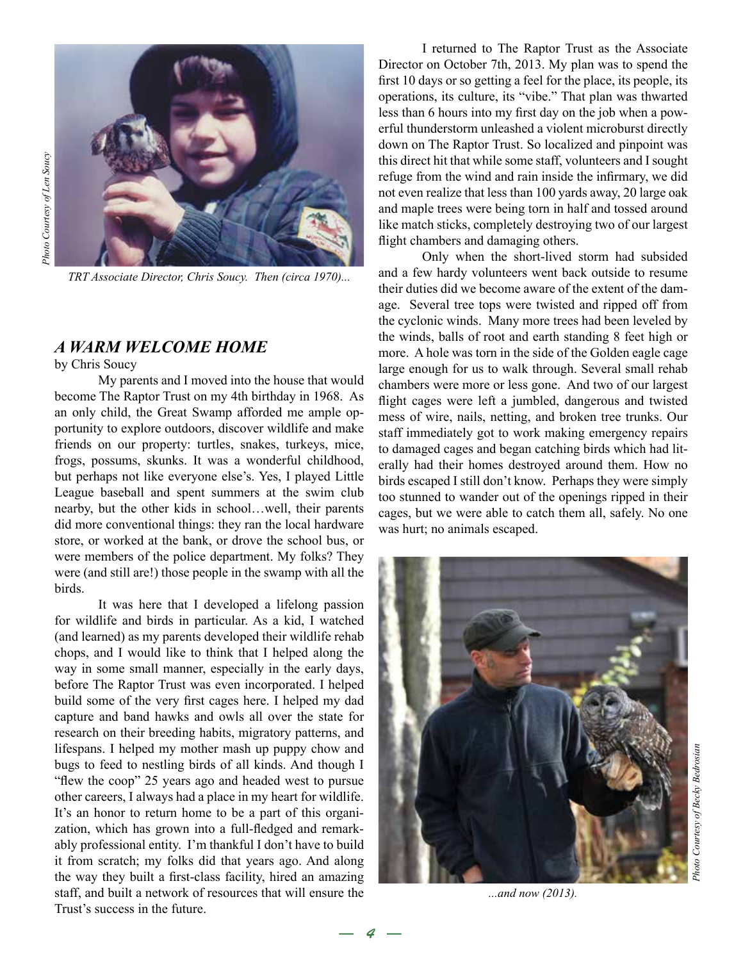

*TRT Associate Director, Chris Soucy. Then (circa 1970)...*

## *A WARM WELCOME HOME*

by Chris Soucy

My parents and I moved into the house that would become The Raptor Trust on my 4th birthday in 1968. As an only child, the Great Swamp afforded me ample opportunity to explore outdoors, discover wildlife and make friends on our property: turtles, snakes, turkeys, mice, frogs, possums, skunks. It was a wonderful childhood, but perhaps not like everyone else's. Yes, I played Little League baseball and spent summers at the swim club nearby, but the other kids in school…well, their parents did more conventional things: they ran the local hardware store, or worked at the bank, or drove the school bus, or were members of the police department. My folks? They were (and still are!) those people in the swamp with all the birds.

It was here that I developed a lifelong passion for wildlife and birds in particular. As a kid, I watched (and learned) as my parents developed their wildlife rehab chops, and I would like to think that I helped along the way in some small manner, especially in the early days, before The Raptor Trust was even incorporated. I helped build some of the very first cages here. I helped my dad capture and band hawks and owls all over the state for research on their breeding habits, migratory patterns, and lifespans. I helped my mother mash up puppy chow and bugs to feed to nestling birds of all kinds. And though I "flew the coop" 25 years ago and headed west to pursue other careers, I always had a place in my heart for wildlife. It's an honor to return home to be a part of this organization, which has grown into a full-fledged and remarkably professional entity. I'm thankful I don't have to build it from scratch; my folks did that years ago. And along the way they built a first-class facility, hired an amazing staff, and built a network of resources that will ensure the Trust's success in the future.

I returned to The Raptor Trust as the Associate Director on October 7th, 2013. My plan was to spend the first 10 days or so getting a feel for the place, its people, its operations, its culture, its "vibe." That plan was thwarted less than 6 hours into my first day on the job when a powerful thunderstorm unleashed a violent microburst directly down on The Raptor Trust. So localized and pinpoint was this direct hit that while some staff, volunteers and I sought refuge from the wind and rain inside the infirmary, we did not even realize that less than 100 yards away, 20 large oak and maple trees were being torn in half and tossed around like match sticks, completely destroying two of our largest flight chambers and damaging others.

Only when the short-lived storm had subsided and a few hardy volunteers went back outside to resume their duties did we become aware of the extent of the damage. Several tree tops were twisted and ripped off from the cyclonic winds. Many more trees had been leveled by the winds, balls of root and earth standing 8 feet high or more. A hole was torn in the side of the Golden eagle cage large enough for us to walk through. Several small rehab chambers were more or less gone. And two of our largest flight cages were left a jumbled, dangerous and twisted mess of wire, nails, netting, and broken tree trunks. Our staff immediately got to work making emergency repairs to damaged cages and began catching birds which had literally had their homes destroyed around them. How no birds escaped I still don't know. Perhaps they were simply too stunned to wander out of the openings ripped in their cages, but we were able to catch them all, safely. No one was hurt; no animals escaped.



*...and now (2013).*

*— 4 —*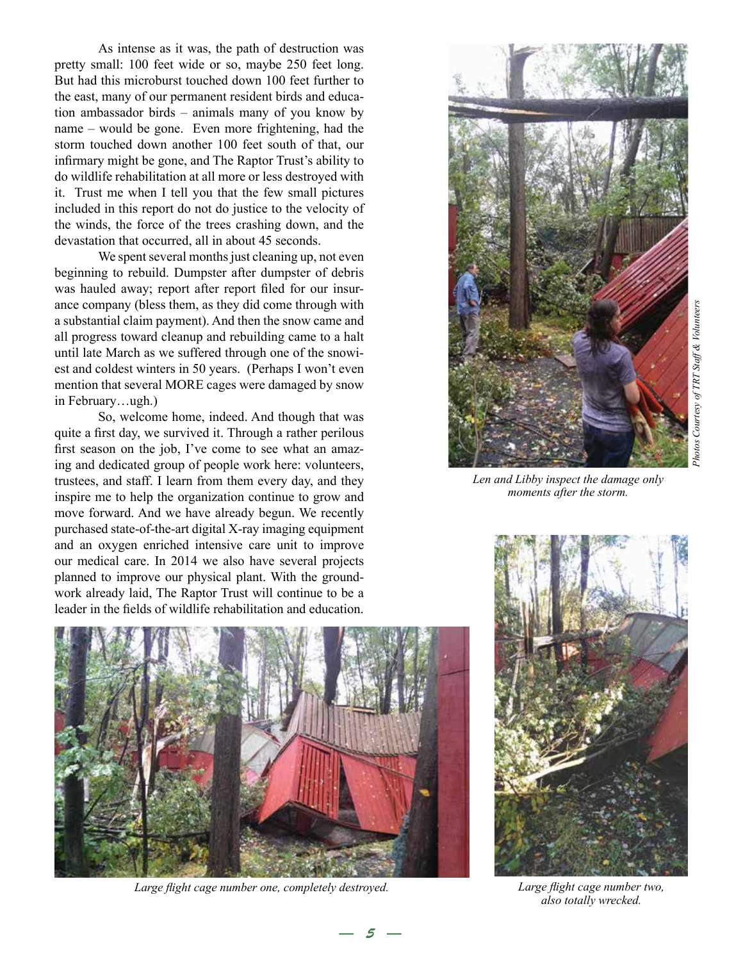As intense as it was, the path of destruction was pretty small: 100 feet wide or so, maybe 250 feet long. But had this microburst touched down 100 feet further to the east, many of our permanent resident birds and education ambassador birds – animals many of you know by name – would be gone. Even more frightening, had the storm touched down another 100 feet south of that, our infirmary might be gone, and The Raptor Trust's ability to do wildlife rehabilitation at all more or less destroyed with it. Trust me when I tell you that the few small pictures included in this report do not do justice to the velocity of the winds, the force of the trees crashing down, and the devastation that occurred, all in about 45 seconds.

We spent several months just cleaning up, not even beginning to rebuild. Dumpster after dumpster of debris was hauled away; report after report filed for our insurance company (bless them, as they did come through with a substantial claim payment). And then the snow came and all progress toward cleanup and rebuilding came to a halt until late March as we suffered through one of the snowiest and coldest winters in 50 years. (Perhaps I won't even mention that several MORE cages were damaged by snow in February...ugh.)

So, welcome home, indeed. And though that was quite a first day, we survived it. Through a rather perilous first season on the job, I've come to see what an amazing and dedicated group of people work here: volunteers, trustees, and staff. I learn from them every day, and they inspire me to help the organization continue to grow and move forward. And we have already begun. We recently purchased state-of-the-art digital X-ray imaging equipment and an oxygen enriched intensive care unit to improve our medical care. In 2014 we also have several projects planned to improve our physical plant. With the groundwork already laid, The Raptor Trust will continue to be a leader in the fields of wildlife rehabilitation and education.



*Len and Libby inspect the damage only moments after the storm.*



*Large flight cage number one, completely destroyed. Large flight cage number two,* 

*— 5 —*



*also totally wrecked.*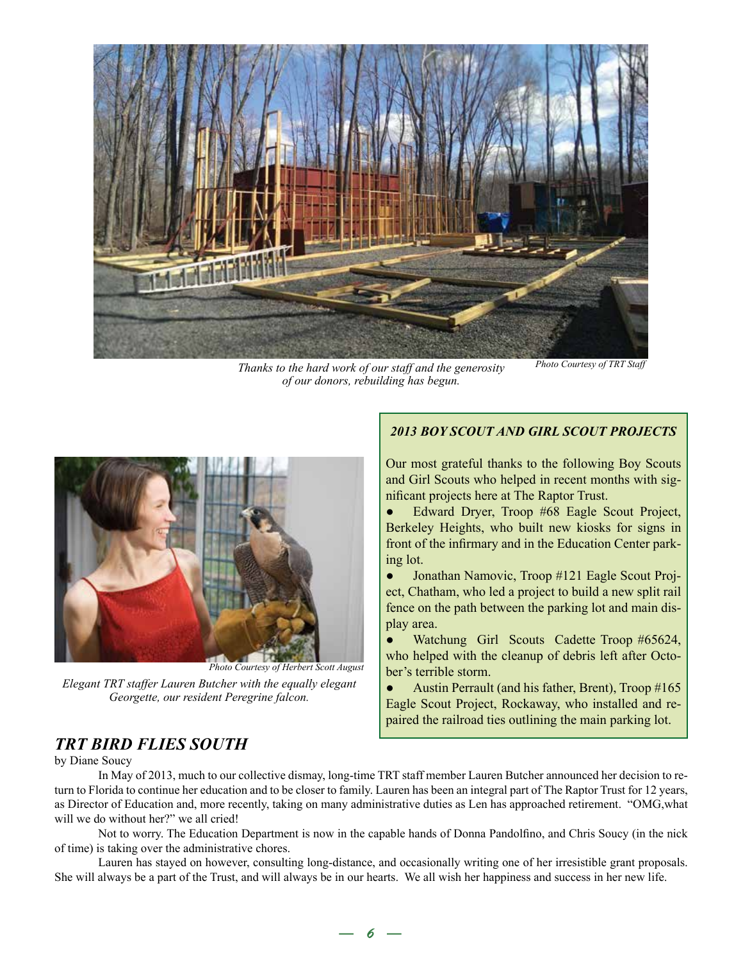

*Thanks to the hard work of our staff and the generosity of our donors, rebuilding has begun.*

*Photo Courtesy of TRT Staff*



*Photo Courtesy of Herbert Scott August*

*Elegant TRT staffer Lauren Butcher with the equally elegant Georgette, our resident Peregrine falcon.*

#### *2013 BOY SCOUT AND GIRL SCOUT PROJECTS*

Our most grateful thanks to the following Boy Scouts and Girl Scouts who helped in recent months with significant projects here at The Raptor Trust.

Edward Dryer, Troop #68 Eagle Scout Project, Berkeley Heights, who built new kiosks for signs in front of the infirmary and in the Education Center parking lot.

● Jonathan Namovic, Troop #121 Eagle Scout Project, Chatham, who led a project to build a new split rail fence on the path between the parking lot and main display area.

Watchung Girl Scouts Cadette Troop #65624, who helped with the cleanup of debris left after October's terrible storm.

● Austin Perrault (and his father, Brent), Troop #165 Eagle Scout Project, Rockaway, who installed and repaired the railroad ties outlining the main parking lot.

# *TRT BIRD FLIES SOUTH*

by Diane Soucy

In May of 2013, much to our collective dismay, long-time TRT staff member Lauren Butcher announced her decision to return to Florida to continue her education and to be closer to family. Lauren has been an integral part of The Raptor Trust for 12 years, as Director of Education and, more recently, taking on many administrative duties as Len has approached retirement. "OMG,what will we do without her?" we all cried!

Not to worry. The Education Department is now in the capable hands of Donna Pandolfino, and Chris Soucy (in the nick of time) is taking over the administrative chores.

Lauren has stayed on however, consulting long-distance, and occasionally writing one of her irresistible grant proposals. She will always be a part of the Trust, and will always be in our hearts. We all wish her happiness and success in her new life.

*— 6 —*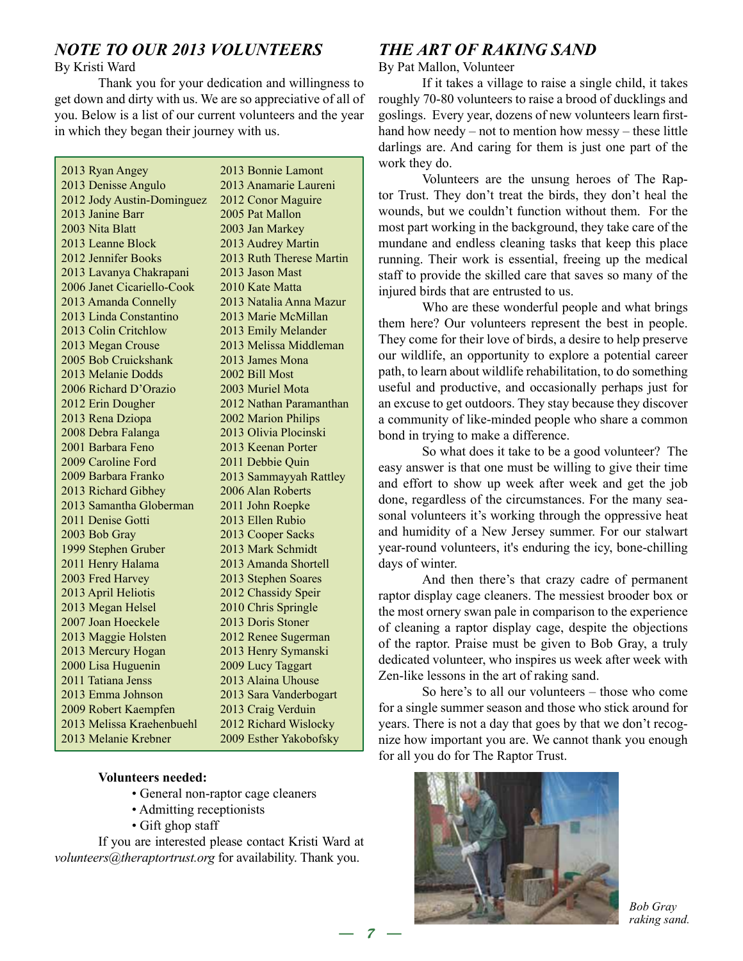# *NOTE TO OUR 2013 VOLUNTEERS*

### By Kristi Ward

Thank you for your dedication and willingness to get down and dirty with us. We are so appreciative of all of you. Below is a list of our current volunteers and the year in which they began their journey with us.

2013 Ryan Angey 2013 Denisse Angulo 2012 Jody Austin-Dominguez 2013 Janine Barr 2003 Nita Blatt 2013 Leanne Block 2012 Jennifer Books 2013 Lavanya Chakrapani 2006 Janet Cicariello-Cook 2013 Amanda Connelly 2013 Linda Constantino 2013 Colin Critchlow 2013 Megan Crouse 2005 Bob Cruickshank 2013 Melanie Dodds 2006 Richard D'Orazio 2012 Erin Dougher 2013 Rena Dziopa 2008 Debra Falanga 2001 Barbara Feno 2009 Caroline Ford 2009 Barbara Franko 2013 Richard Gibhey 2013 Samantha Globerman 2011 Denise Gotti 2003 Bob Gray 1999 Stephen Gruber 2011 Henry Halama 2003 Fred Harvey 2013 April Heliotis 2013 Megan Helsel 2007 Joan Hoeckele 2013 Maggie Holsten 2013 Mercury Hogan 2000 Lisa Huguenin 2011 Tatiana Jenss 2013 Emma Johnson 2009 Robert Kaempfen 2013 Melissa Kraehenbuehl 2013 Melanie Krebner 2013 Bonnie Lamont 2013 Anamarie Laureni 2012 Conor Maguire 2005 Pat Mallon 2003 Jan Markey 2013 Audrey Martin 2013 Ruth Therese Martin 2013 Jason Mast 2010 Kate Matta 2013 Natalia Anna Mazur 2013 Marie McMillan 2013 Emily Melander 2013 Melissa Middleman 2013 James Mona 2002 Bill Most 2003 Muriel Mota 2012 Nathan Paramanthan 2002 Marion Philips 2013 Olivia Plocinski 2013 Keenan Porter 2011 Debbie Quin 2013 Sammayyah Rattley 2006 Alan Roberts 2011 John Roepke 2013 Ellen Rubio 2013 Cooper Sacks 2013 Mark Schmidt 2013 Amanda Shortell 2013 Stephen Soares 2012 Chassidy Speir 2010 Chris Springle 2013 Doris Stoner 2012 Renee Sugerman 2013 Henry Symanski 2009 Lucy Taggart 2013 Alaina Uhouse 2013 Sara Vanderbogart 2013 Craig Verduin 2012 Richard Wislocky 2009 Esther Yakobofsky

### **Volunteers needed:**

- General non-raptor cage cleaners
- Admitting receptionists
- Gift ghop staff

If you are interested please contact Kristi Ward at *volunteers@theraptortrust.org* for availability. Thank you.

# *THE ART OF RAKING SAND*

By Pat Mallon, Volunteer

If it takes a village to raise a single child, it takes roughly 70-80 volunteers to raise a brood of ducklings and goslings. Every year, dozens of new volunteers learn firsthand how needy – not to mention how messy – these little darlings are. And caring for them is just one part of the work they do.

Volunteers are the unsung heroes of The Raptor Trust. They don't treat the birds, they don't heal the wounds, but we couldn't function without them. For the most part working in the background, they take care of the mundane and endless cleaning tasks that keep this place running. Their work is essential, freeing up the medical staff to provide the skilled care that saves so many of the injured birds that are entrusted to us.

Who are these wonderful people and what brings them here? Our volunteers represent the best in people. They come for their love of birds, a desire to help preserve our wildlife, an opportunity to explore a potential career path, to learn about wildlife rehabilitation, to do something useful and productive, and occasionally perhaps just for an excuse to get outdoors. They stay because they discover a community of like-minded people who share a common bond in trying to make a difference.

So what does it take to be a good volunteer? The easy answer is that one must be willing to give their time and effort to show up week after week and get the job done, regardless of the circumstances. For the many seasonal volunteers it's working through the oppressive heat and humidity of a New Jersey summer. For our stalwart year-round volunteers, it's enduring the icy, bone-chilling days of winter.

And then there's that crazy cadre of permanent raptor display cage cleaners. The messiest brooder box or the most ornery swan pale in comparison to the experience of cleaning a raptor display cage, despite the objections of the raptor. Praise must be given to Bob Gray, a truly dedicated volunteer, who inspires us week after week with Zen-like lessons in the art of raking sand.

So here's to all our volunteers – those who come for a single summer season and those who stick around for years. There is not a day that goes by that we don't recognize how important you are. We cannot thank you enough for all you do for The Raptor Trust.



*Bob Gray raking sand.*

*— 7 —*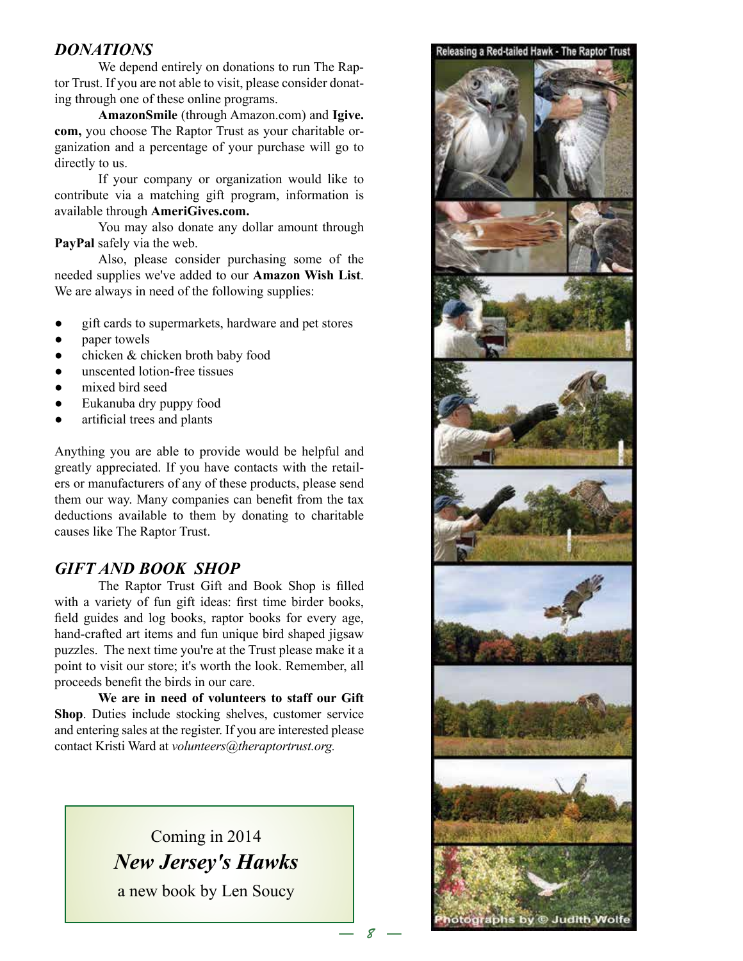## *DONATIONS*

We depend entirely on donations to run The Raptor Trust. If you are not able to visit, please consider donating through one of these online programs.

**AmazonSmile** (through Amazon.com) and **Igive. com,** you choose The Raptor Trust as your charitable organization and a percentage of your purchase will go to directly to us.

If your company or organization would like to contribute via a matching gift program, information is available through **AmeriGives.com.**

You may also donate any dollar amount through **PayPal** safely via the web.

Also, please consider purchasing some of the needed supplies we've added to our **Amazon Wish List**. We are always in need of the following supplies:

- gift cards to supermarkets, hardware and pet stores
- paper towels
- chicken & chicken broth baby food
- unscented lotion-free tissues
- mixed bird seed
- Eukanuba dry puppy food
- artificial trees and plants

Anything you are able to provide would be helpful and greatly appreciated. If you have contacts with the retailers or manufacturers of any of these products, please send them our way. Many companies can benefit from the tax deductions available to them by donating to charitable causes like The Raptor Trust.

# *GIFT AND BOOK SHOP*

The Raptor Trust Gift and Book Shop is filled with a variety of fun gift ideas: first time birder books, field guides and log books, raptor books for every age, hand-crafted art items and fun unique bird shaped jigsaw puzzles. The next time you're at the Trust please make it a point to visit our store; it's worth the look. Remember, all proceeds benefit the birds in our care.

**We are in need of volunteers to staff our Gift Shop**. Duties include stocking shelves, customer service and entering sales at the register. If you are interested please contact Kristi Ward at *volunteers@theraptortrust.org.* 

> Coming in 2014 *New Jersey's Hawks* a new book by Len Soucy

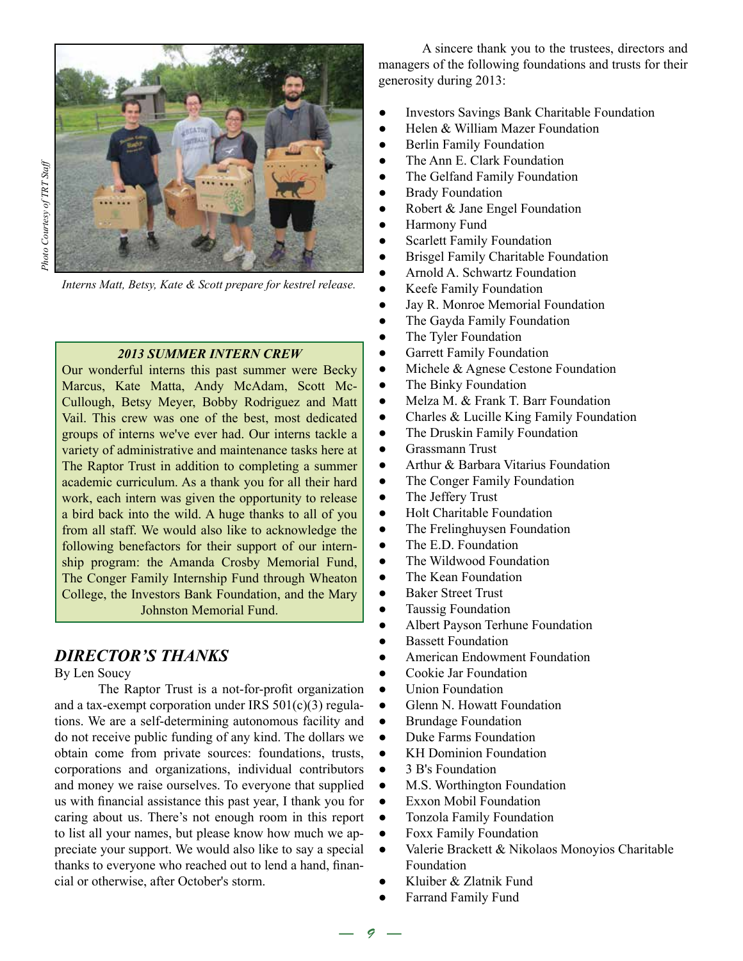

Photo Courtesy of TRT Staff *Photo Courtesy of TRT Staff*

*Interns Matt, Betsy, Kate & Scott prepare for kestrel release.*

## *2013 SUMMER INTERN CREW*

Our wonderful interns this past summer were Becky Marcus, Kate Matta, Andy McAdam, Scott Mc-Cullough, Betsy Meyer, Bobby Rodriguez and Matt Vail. This crew was one of the best, most dedicated groups of interns we've ever had. Our interns tackle a variety of administrative and maintenance tasks here at The Raptor Trust in addition to completing a summer academic curriculum. As a thank you for all their hard work, each intern was given the opportunity to release a bird back into the wild. A huge thanks to all of you from all staff. We would also like to acknowledge the following benefactors for their support of our internship program: the Amanda Crosby Memorial Fund, The Conger Family Internship Fund through Wheaton College, the Investors Bank Foundation, and the Mary Johnston Memorial Fund.

# *DIRECTOR'S THANKS*

By Len Soucy

The Raptor Trust is a not-for-profit organization and a tax-exempt corporation under IRS 501(c)(3) regulations. We are a self-determining autonomous facility and do not receive public funding of any kind. The dollars we obtain come from private sources: foundations, trusts, corporations and organizations, individual contributors and money we raise ourselves. To everyone that supplied us with financial assistance this past year, I thank you for caring about us. There's not enough room in this report to list all your names, but please know how much we appreciate your support. We would also like to say a special thanks to everyone who reached out to lend a hand, financial or otherwise, after October's storm.

A sincere thank you to the trustees, directors and managers of the following foundations and trusts for their generosity during 2013:

- Investors Savings Bank Charitable Foundation
- Helen & William Mazer Foundation
- **Berlin Family Foundation**
- The Ann E. Clark Foundation
- The Gelfand Family Foundation
- **•** Brady Foundation
- Robert & Jane Engel Foundation
- Harmony Fund
- Scarlett Family Foundation
- Brisgel Family Charitable Foundation
- Arnold A. Schwartz Foundation
- Keefe Family Foundation
- Jay R. Monroe Memorial Foundation
- The Gayda Family Foundation
- The Tyler Foundation
- **•** Garrett Family Foundation
- Michele & Agnese Cestone Foundation
- The Binky Foundation
- Melza M. & Frank T. Barr Foundation
- Charles & Lucille King Family Foundation
- The Druskin Family Foundation
- Grassmann Trust
- Arthur & Barbara Vitarius Foundation
- The Conger Family Foundation
- The Jeffery Trust
- Holt Charitable Foundation
- The Frelinghuysen Foundation
- The E.D. Foundation
- The Wildwood Foundation
- The Kean Foundation
- Baker Street Trust
- Taussig Foundation
- Albert Payson Terhune Foundation
- **Bassett Foundation**
- American Endowment Foundation
- Cookie Jar Foundation
- Union Foundation
- Glenn N. Howatt Foundation
- Brundage Foundation
- Duke Farms Foundation
- KH Dominion Foundation
- 3 B's Foundation
- M.S. Worthington Foundation
- Exxon Mobil Foundation
- Tonzola Family Foundation
- Foxx Family Foundation
- Valerie Brackett & Nikolaos Monoyios Charitable Foundation
- Kluiber & Zlatnik Fund
- Farrand Family Fund

*— 9 —*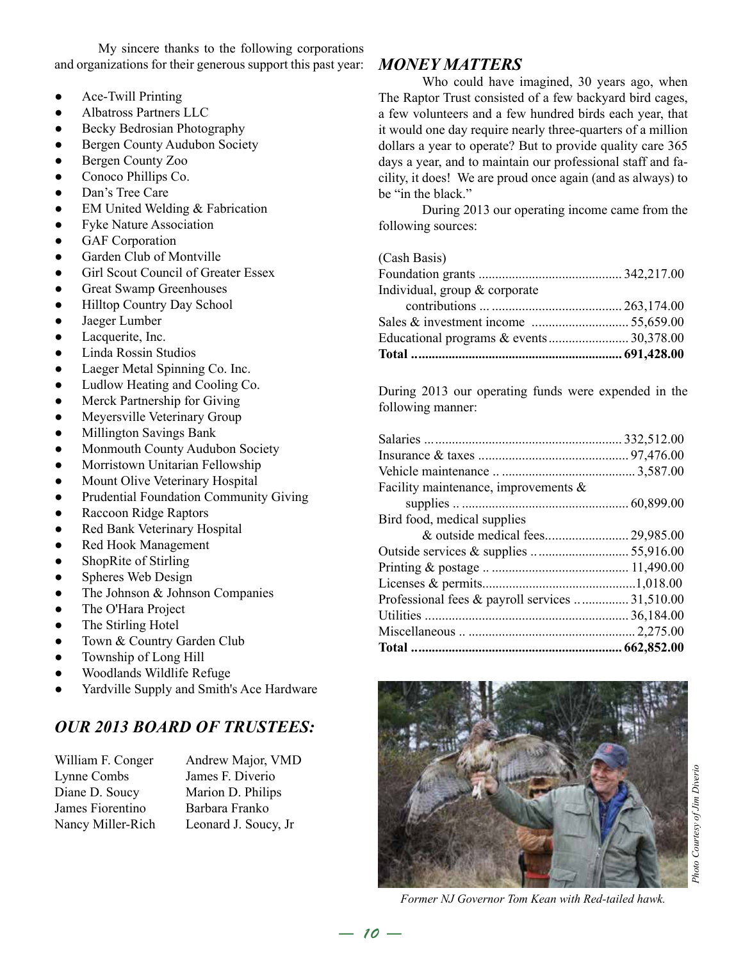My sincere thanks to the following corporations and organizations for their generous support this past year:

- Ace-Twill Printing
- Albatross Partners LLC
- Becky Bedrosian Photography
- **Bergen County Audubon Society**
- Bergen County Zoo
- Conoco Phillips Co.
- Dan's Tree Care
- EM United Welding & Fabrication
- Fyke Nature Association
- **GAF** Corporation
- Garden Club of Montville
- **Girl Scout Council of Greater Essex**
- Great Swamp Greenhouses
- Hilltop Country Day School
- Jaeger Lumber
- Lacquerite, Inc.
- Linda Rossin Studios
- Laeger Metal Spinning Co. Inc.
- Ludlow Heating and Cooling Co.
- Merck Partnership for Giving
- Meyersville Veterinary Group
- Millington Savings Bank
- Monmouth County Audubon Society
- Morristown Unitarian Fellowship
- Mount Olive Veterinary Hospital
- Prudential Foundation Community Giving
- **Raccoon Ridge Raptors**
- Red Bank Veterinary Hospital
- Red Hook Management
- ShopRite of Stirling
- Spheres Web Design
- The Johnson & Johnson Companies
- The O'Hara Project
- The Stirling Hotel
- Town & Country Garden Club
- Township of Long Hill
- Woodlands Wildlife Refuge
- Yardville Supply and Smith's Ace Hardware

# *OUR 2013 BOARD OF TRUSTEES:*

William F. Conger Andrew Major, VMD Lynne Combs James F. Diverio Diane D. Soucy Marion D. Philips James Fiorentino Barbara Franko

Nancy Miller-Rich Leonard J. Soucy, Jr

# *MONEY MATTERS*

Who could have imagined, 30 years ago, when The Raptor Trust consisted of a few backyard bird cages, a few volunteers and a few hundred birds each year, that it would one day require nearly three-quarters of a million dollars a year to operate? But to provide quality care 365 days a year, and to maintain our professional staff and facility, it does! We are proud once again (and as always) to be "in the black."

During 2013 our operating income came from the following sources:

#### (Cash Basis)

| Individual, group & corporate |  |
|-------------------------------|--|
|                               |  |
|                               |  |
|                               |  |

During 2013 our operating funds were expended in the following manner:

| Professional fees & payroll services  31,510.00 |  |
|-------------------------------------------------|--|
|                                                 |  |
|                                                 |  |
|                                                 |  |
|                                                 |  |
| Bird food, medical supplies                     |  |
|                                                 |  |
| Facility maintenance, improvements $\&$         |  |
|                                                 |  |
|                                                 |  |
|                                                 |  |



*Former NJ Governor Tom Kean with Red-tailed hawk.*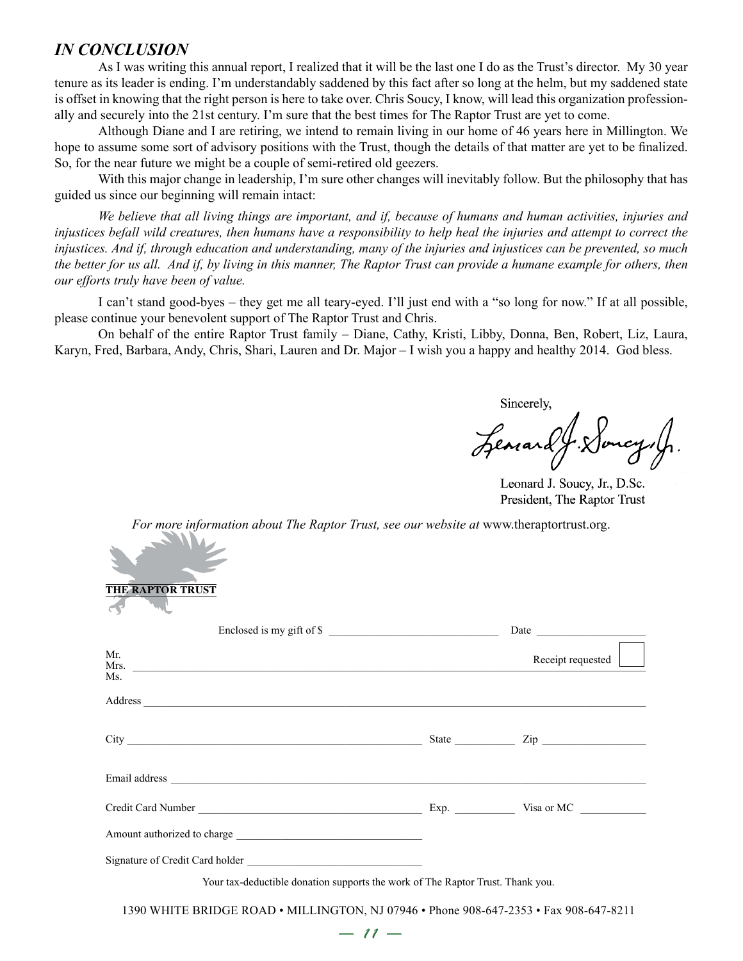## *IN CONCLUSION*

As I was writing this annual report, I realized that it will be the last one I do as the Trust's director. My 30 year tenure as its leader is ending. I'm understandably saddened by this fact after so long at the helm, but my saddened state is offset in knowing that the right person is here to take over. Chris Soucy, I know, will lead this organization professionally and securely into the 21st century. I'm sure that the best times for The Raptor Trust are yet to come.

Although Diane and I are retiring, we intend to remain living in our home of 46 years here in Millington. We hope to assume some sort of advisory positions with the Trust, though the details of that matter are yet to be finalized. So, for the near future we might be a couple of semi-retired old geezers.

With this major change in leadership, I'm sure other changes will inevitably follow. But the philosophy that has guided us since our beginning will remain intact:

*We believe that all living things are important, and if, because of humans and human activities, injuries and injustices befall wild creatures, then humans have a responsibility to help heal the injuries and attempt to correct the injustices. And if, through education and understanding, many of the injuries and injustices can be prevented, so much the better for us all. And if, by living in this manner, The Raptor Trust can provide a humane example for others, then our efforts truly have been of value.*

I can't stand good-byes – they get me all teary-eyed. I'll just end with a "so long for now." If at all possible, please continue your benevolent support of The Raptor Trust and Chris.

On behalf of the entire Raptor Trust family – Diane, Cathy, Kristi, Libby, Donna, Ben, Robert, Liz, Laura, Karyn, Fred, Barbara, Andy, Chris, Shari, Lauren and Dr. Major – I wish you a happy and healthy 2014. God bless.

Sincerely,

Leonard J. Loncy, J.

Leonard J. Soucy, Jr., D.Sc. President, The Raptor Trust

*For more information about The Raptor Trust, see our website at www.theraptortrust.org.* 

| <b>THE RAPTOR TRUST</b>                                                                                                                                                                                                        |                   |
|--------------------------------------------------------------------------------------------------------------------------------------------------------------------------------------------------------------------------------|-------------------|
| Enclosed is my gift of \$                                                                                                                                                                                                      |                   |
| Mr.<br>Mrs.<br>Ms.                                                                                                                                                                                                             | Receipt requested |
| Address explained a series of the series of the series of the series of the series of the series of the series of the series of the series of the series of the series of the series of the series of the series of the series |                   |
|                                                                                                                                                                                                                                |                   |
|                                                                                                                                                                                                                                |                   |
|                                                                                                                                                                                                                                |                   |
|                                                                                                                                                                                                                                |                   |
|                                                                                                                                                                                                                                |                   |
| Your tax-deductible donation supports the work of The Raptor Trust. Thank you.                                                                                                                                                 |                   |

1390 WHITE BRIDGE ROAD • MILLINGTON, NJ 07946 • Phone 908-647-2353 • Fax 908-647-8211